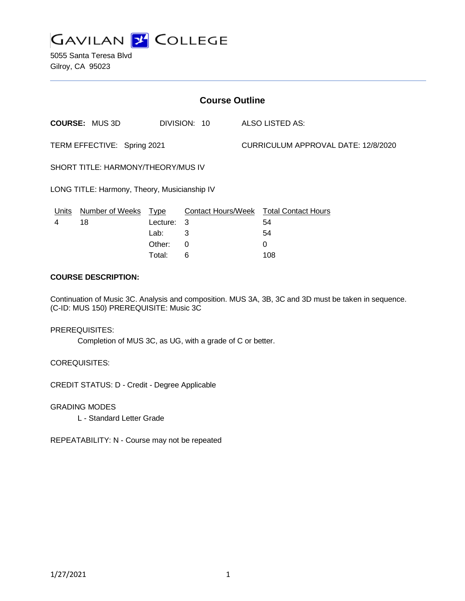

5055 Santa Teresa Blvd Gilroy, CA 95023

| <b>Course Outline</b>                        |                        |             |              |                                     |                                               |
|----------------------------------------------|------------------------|-------------|--------------|-------------------------------------|-----------------------------------------------|
|                                              | <b>COURSE: MUS 3D</b>  |             | DIVISION: 10 |                                     | ALSO LISTED AS:                               |
| TERM EFFECTIVE: Spring 2021                  |                        |             |              | CURRICULUM APPROVAL DATE: 12/8/2020 |                                               |
| SHORT TITLE: HARMONY/THEORY/MUS IV           |                        |             |              |                                     |                                               |
| LONG TITLE: Harmony, Theory, Musicianship IV |                        |             |              |                                     |                                               |
| Units                                        | <b>Number of Weeks</b> | <u>Type</u> |              |                                     | <b>Contact Hours/Week Total Contact Hours</b> |
| 4                                            | 18                     | Lecture:    | 3            |                                     | 54                                            |
|                                              |                        | Lab:        | 3            |                                     | 54                                            |
|                                              |                        | Other:      | 0            |                                     | 0                                             |
|                                              |                        | Total:      | 6            |                                     | 108                                           |

#### **COURSE DESCRIPTION:**

Continuation of Music 3C. Analysis and composition. MUS 3A, 3B, 3C and 3D must be taken in sequence. (C-ID: MUS 150) PREREQUISITE: Music 3C

#### PREREQUISITES:

Completion of MUS 3C, as UG, with a grade of C or better.

COREQUISITES:

CREDIT STATUS: D - Credit - Degree Applicable

GRADING MODES

L - Standard Letter Grade

REPEATABILITY: N - Course may not be repeated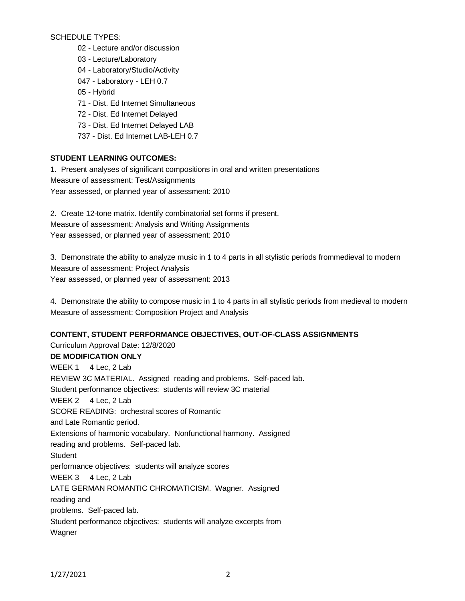SCHEDULE TYPES:

- 02 Lecture and/or discussion
- 03 Lecture/Laboratory
- 04 Laboratory/Studio/Activity
- 047 Laboratory LEH 0.7
- 05 Hybrid
- 71 Dist. Ed Internet Simultaneous
- 72 Dist. Ed Internet Delayed
- 73 Dist. Ed Internet Delayed LAB
- 737 Dist. Ed Internet LAB-LEH 0.7

## **STUDENT LEARNING OUTCOMES:**

1. Present analyses of significant compositions in oral and written presentations Measure of assessment: Test/Assignments Year assessed, or planned year of assessment: 2010

2. Create 12-tone matrix. Identify combinatorial set forms if present. Measure of assessment: Analysis and Writing Assignments Year assessed, or planned year of assessment: 2010

3. Demonstrate the ability to analyze music in 1 to 4 parts in all stylistic periods frommedieval to modern Measure of assessment: Project Analysis Year assessed, or planned year of assessment: 2013

4. Demonstrate the ability to compose music in 1 to 4 parts in all stylistic periods from medieval to modern Measure of assessment: Composition Project and Analysis

# **CONTENT, STUDENT PERFORMANCE OBJECTIVES, OUT-OF-CLASS ASSIGNMENTS**

Curriculum Approval Date: 12/8/2020 **DE MODIFICATION ONLY** WEEK 1 4 Lec, 2 Lab REVIEW 3C MATERIAL. Assigned reading and problems. Self-paced lab. Student performance objectives: students will review 3C material WEEK 2 4 Lec, 2 Lab SCORE READING: orchestral scores of Romantic and Late Romantic period. Extensions of harmonic vocabulary. Nonfunctional harmony. Assigned reading and problems. Self-paced lab. **Student** performance objectives: students will analyze scores WEEK 3 4 Lec, 2 Lab LATE GERMAN ROMANTIC CHROMATICISM. Wagner. Assigned reading and problems. Self-paced lab. Student performance objectives: students will analyze excerpts from **Wagner**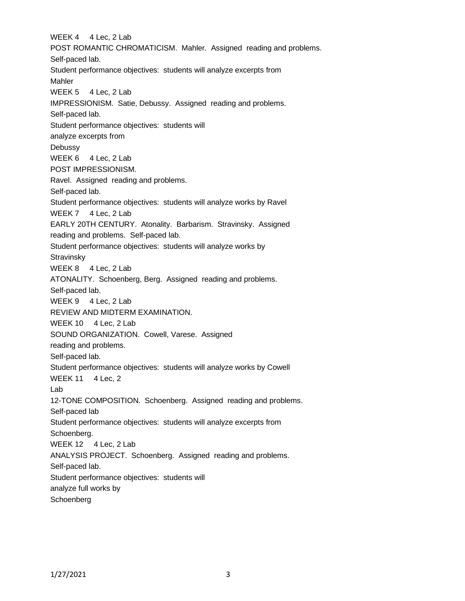WEEK 4 4 Lec, 2 Lab POST ROMANTIC CHROMATICISM. Mahler. Assigned reading and problems. Self-paced lab. Student performance objectives: students will analyze excerpts from Mahler WEEK 5 4 Lec, 2 Lab IMPRESSIONISM. Satie, Debussy. Assigned reading and problems. Self-paced lab. Student performance objectives: students will analyze excerpts from Debussy WEEK 6 4 Lec, 2 Lab POST IMPRESSIONISM. Ravel. Assigned reading and problems. Self-paced lab. Student performance objectives: students will analyze works by Ravel WEEK 7 4 Lec, 2 Lab EARLY 20TH CENTURY. Atonality. Barbarism. Stravinsky. Assigned reading and problems. Self-paced lab. Student performance objectives: students will analyze works by **Stravinsky** WEEK 8 4 Lec, 2 Lab ATONALITY. Schoenberg, Berg. Assigned reading and problems. Self-paced lab. WEEK 9 4 Lec, 2 Lab REVIEW AND MIDTERM EXAMINATION. WEEK 10 4 Lec, 2 Lab SOUND ORGANIZATION. Cowell, Varese. Assigned reading and problems. Self-paced lab. Student performance objectives: students will analyze works by Cowell WEEK 11 4 Lec, 2 Lab 12-TONE COMPOSITION. Schoenberg. Assigned reading and problems. Self-paced lab Student performance objectives: students will analyze excerpts from Schoenberg. WEEK 12 4 Lec, 2 Lab ANALYSIS PROJECT. Schoenberg. Assigned reading and problems. Self-paced lab. Student performance objectives: students will analyze full works by Schoenberg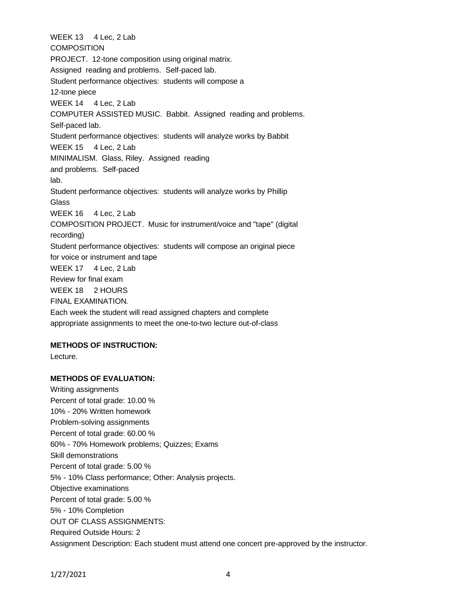WEEK 13 4 Lec, 2 Lab **COMPOSITION** PROJECT. 12-tone composition using original matrix. Assigned reading and problems. Self-paced lab. Student performance objectives: students will compose a 12-tone piece WEEK 14 4 Lec, 2 Lab COMPUTER ASSISTED MUSIC. Babbit. Assigned reading and problems. Self-paced lab. Student performance objectives: students will analyze works by Babbit WEEK 15 4 Lec, 2 Lab MINIMALISM. Glass, Riley. Assigned reading and problems. Self-paced lab. Student performance objectives: students will analyze works by Phillip **Glass** WEEK 16 4 Lec, 2 Lab COMPOSITION PROJECT. Music for instrument/voice and "tape" (digital recording) Student performance objectives: students will compose an original piece for voice or instrument and tape WEEK 17 4 Lec, 2 Lab Review for final exam WEEK 18 2 HOURS FINAL EXAMINATION. Each week the student will read assigned chapters and complete appropriate assignments to meet the one-to-two lecture out-of-class

### **METHODS OF INSTRUCTION:**

Lecture.

### **METHODS OF EVALUATION:**

Writing assignments Percent of total grade: 10.00 % 10% - 20% Written homework Problem-solving assignments Percent of total grade: 60.00 % 60% - 70% Homework problems; Quizzes; Exams Skill demonstrations Percent of total grade: 5.00 % 5% - 10% Class performance; Other: Analysis projects. Objective examinations Percent of total grade: 5.00 % 5% - 10% Completion OUT OF CLASS ASSIGNMENTS: Required Outside Hours: 2 Assignment Description: Each student must attend one concert pre-approved by the instructor.